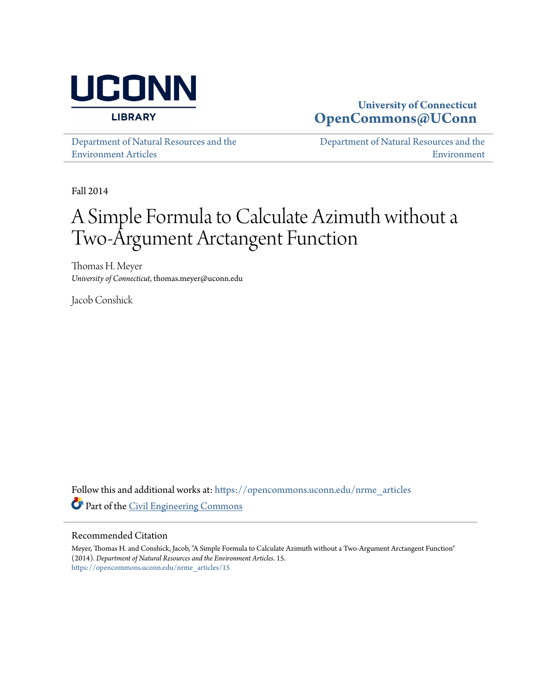

### **University of Connecticut [OpenCommons@UConn](https://opencommons.uconn.edu?utm_source=opencommons.uconn.edu%2Fnrme_articles%2F15&utm_medium=PDF&utm_campaign=PDFCoverPages)**

[Department of Natural Resources and the](https://opencommons.uconn.edu/nrme_articles?utm_source=opencommons.uconn.edu%2Fnrme_articles%2F15&utm_medium=PDF&utm_campaign=PDFCoverPages) [Environment Articles](https://opencommons.uconn.edu/nrme_articles?utm_source=opencommons.uconn.edu%2Fnrme_articles%2F15&utm_medium=PDF&utm_campaign=PDFCoverPages)

[Department of Natural Resources and the](https://opencommons.uconn.edu/nrme?utm_source=opencommons.uconn.edu%2Fnrme_articles%2F15&utm_medium=PDF&utm_campaign=PDFCoverPages) [Environment](https://opencommons.uconn.edu/nrme?utm_source=opencommons.uconn.edu%2Fnrme_articles%2F15&utm_medium=PDF&utm_campaign=PDFCoverPages)

Fall 2014

# A Simple Formula to Calculate Azimuth without a Two-Argument Arctangent Function

Thomas H. Meyer *University of Connecticut*, thomas.meyer@uconn.edu

Jacob Conshick

Follow this and additional works at: [https://opencommons.uconn.edu/nrme\\_articles](https://opencommons.uconn.edu/nrme_articles?utm_source=opencommons.uconn.edu%2Fnrme_articles%2F15&utm_medium=PDF&utm_campaign=PDFCoverPages) Part of the [Civil Engineering Commons](http://network.bepress.com/hgg/discipline/252?utm_source=opencommons.uconn.edu%2Fnrme_articles%2F15&utm_medium=PDF&utm_campaign=PDFCoverPages)

#### Recommended Citation

Meyer, Thomas H. and Conshick, Jacob, "A Simple Formula to Calculate Azimuth without a Two-Argument Arctangent Function" (2014). *Department of Natural Resources and the Environment Articles*. 15. [https://opencommons.uconn.edu/nrme\\_articles/15](https://opencommons.uconn.edu/nrme_articles/15?utm_source=opencommons.uconn.edu%2Fnrme_articles%2F15&utm_medium=PDF&utm_campaign=PDFCoverPages)